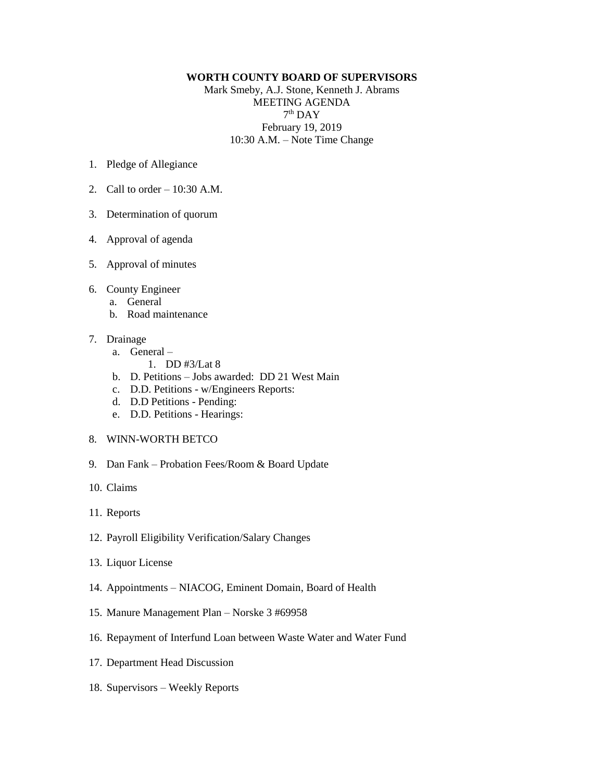## **WORTH COUNTY BOARD OF SUPERVISORS**

Mark Smeby, A.J. Stone, Kenneth J. Abrams MEETING AGENDA  $7<sup>th</sup>$  DAY February 19, 2019 10:30 A.M. – Note Time Change

- 1. Pledge of Allegiance
- 2. Call to order 10:30 A.M.
- 3. Determination of quorum
- 4. Approval of agenda
- 5. Approval of minutes
- 6. County Engineer
	- a. General
	- b. Road maintenance
- 7. Drainage
	- a. General
		- 1. DD #3/Lat 8
	- b. D. Petitions Jobs awarded: DD 21 West Main
	- c. D.D. Petitions w/Engineers Reports:
	- d. D.D Petitions Pending:
	- e. D.D. Petitions Hearings:
- 8. WINN-WORTH BETCO
- 9. Dan Fank Probation Fees/Room & Board Update
- 10. Claims
- 11. Reports
- 12. Payroll Eligibility Verification/Salary Changes
- 13. Liquor License
- 14. Appointments NIACOG, Eminent Domain, Board of Health
- 15. Manure Management Plan Norske 3 #69958
- 16. Repayment of Interfund Loan between Waste Water and Water Fund
- 17. Department Head Discussion
- 18. Supervisors Weekly Reports